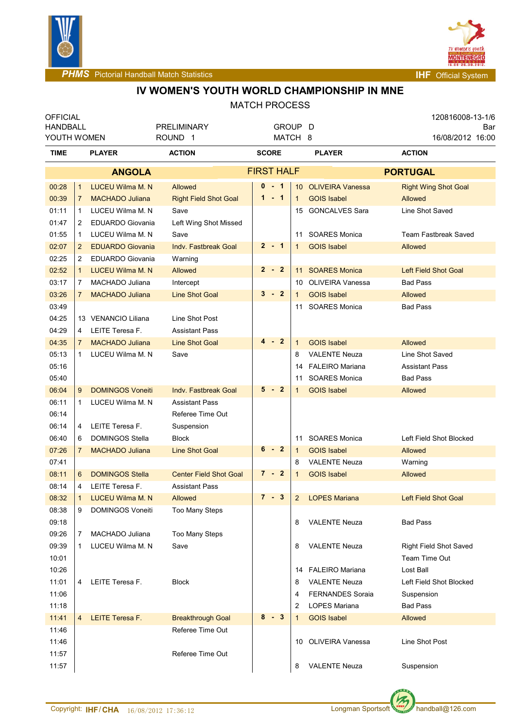



**PHMS** Pictorial Handball Match Statistics **Internal Physics INF** Official System

## **IV WOMEN'S YOUTH WORLD CHAMPIONSHIP IN MNE**

| <b>OFFICIAL</b> |                |                          |                               |                   |                |                         |  | 120816008-13-1/6            |  |  |
|-----------------|----------------|--------------------------|-------------------------------|-------------------|----------------|-------------------------|--|-----------------------------|--|--|
| <b>HANDBALL</b> |                |                          | <b>PRELIMINARY</b>            | GROUP D           |                |                         |  | Bar                         |  |  |
|                 | YOUTH WOMEN    |                          | ROUND <sub>1</sub>            | MATCH 8           |                |                         |  | 16/08/2012 16:00            |  |  |
| TIME            |                | <b>PLAYER</b>            | <b>ACTION</b>                 | <b>SCORE</b>      |                | <b>PLAYER</b>           |  | <b>ACTION</b>               |  |  |
|                 |                | <b>ANGOLA</b>            |                               | <b>FIRST HALF</b> |                |                         |  | <b>PORTUGAL</b>             |  |  |
| 00:28           | $\mathbf{1}$   | <b>LUCEU Wilma M. N</b>  | Allowed                       | $0 - 1$           |                | 10 OLIVEIRA Vanessa     |  | <b>Right Wing Shot Goal</b> |  |  |
| 00:39           | $\overline{7}$ | <b>MACHADO Juliana</b>   | <b>Right Field Shot Goal</b>  | $1 - 1$           | $\mathbf{1}$   | <b>GOIS Isabel</b>      |  | Allowed                     |  |  |
| 01:11           | 1              | LUCEU Wilma M. N         | Save                          |                   | 15             | <b>GONCALVES Sara</b>   |  | Line Shot Saved             |  |  |
| 01:47           | 2              | <b>EDUARDO Giovania</b>  | Left Wing Shot Missed         |                   |                |                         |  |                             |  |  |
| 01:55           | 1              | LUCEU Wilma M. N         | Save                          |                   | 11             | <b>SOARES Monica</b>    |  | <b>Team Fastbreak Saved</b> |  |  |
| 02:07           | $\overline{2}$ | <b>EDUARDO Giovania</b>  | <b>Indv. Fastbreak Goal</b>   | $2 - 1$           | 1              | <b>GOIS Isabel</b>      |  | Allowed                     |  |  |
| 02:25           | 2              | <b>EDUARDO Giovania</b>  | Warning                       |                   |                |                         |  |                             |  |  |
| 02:52           | 1              | <b>LUCEU Wilma M. N</b>  | Allowed                       | $2 - 2$           |                | 11 SOARES Monica        |  | <b>Left Field Shot Goal</b> |  |  |
| 03:17           | 7              | MACHADO Juliana          | Intercept                     |                   |                | 10 OLIVEIRA Vanessa     |  | <b>Bad Pass</b>             |  |  |
| 03:26           | $7\phantom{.}$ | <b>MACHADO Juliana</b>   | <b>Line Shot Goal</b>         | $3 - 2$           | 1              | <b>GOIS Isabel</b>      |  | <b>Allowed</b>              |  |  |
| 03:49           |                |                          |                               |                   |                | 11 SOARES Monica        |  | <b>Bad Pass</b>             |  |  |
| 04:25           |                | 13 VENANCIO Liliana      | Line Shot Post                |                   |                |                         |  |                             |  |  |
| 04:29           | 4              | LEITE Teresa F.          | <b>Assistant Pass</b>         |                   |                |                         |  |                             |  |  |
| 04:35           | $\overline{7}$ | <b>MACHADO Juliana</b>   | <b>Line Shot Goal</b>         | $4 - 2$           | $\mathbf 1$    | <b>GOIS Isabel</b>      |  | Allowed                     |  |  |
| 05:13           | 1              | LUCEU Wilma M. N         | Save                          |                   | 8              | <b>VALENTE Neuza</b>    |  | Line Shot Saved             |  |  |
| 05:16           |                |                          |                               |                   |                | 14 FALEIRO Mariana      |  | <b>Assistant Pass</b>       |  |  |
| 05:40           |                |                          |                               |                   | 11             | <b>SOARES Monica</b>    |  | <b>Bad Pass</b>             |  |  |
| 06:04           | 9              | <b>DOMINGOS Voneiti</b>  | <b>Indv. Fastbreak Goal</b>   | 5 - 2             | 1              | <b>GOIS Isabel</b>      |  | Allowed                     |  |  |
| 06:11           | 1              | LUCEU Wilma M. N         | <b>Assistant Pass</b>         |                   |                |                         |  |                             |  |  |
| 06:14           |                |                          | Referee Time Out              |                   |                |                         |  |                             |  |  |
| 06:14           | 4              | LEITE Teresa F.          | Suspension                    |                   |                |                         |  |                             |  |  |
| 06:40           | 6              | <b>DOMINGOS Stella</b>   | <b>Block</b>                  |                   |                | 11 SOARES Monica        |  | Left Field Shot Blocked     |  |  |
| 07:26           | $\mathbf{7}$   | <b>MACHADO Juliana</b>   | <b>Line Shot Goal</b>         | $6 - 2$           | $\mathbf{1}$   | <b>GOIS Isabel</b>      |  | Allowed                     |  |  |
| 07:41           |                |                          |                               |                   | 8              | <b>VALENTE Neuza</b>    |  | Warning                     |  |  |
| 08:11           | 6              | <b>DOMINGOS Stella</b>   | <b>Center Field Shot Goal</b> | $7 - 2$           | 1              | <b>GOIS Isabel</b>      |  | Allowed                     |  |  |
| 08:14           | 4              | LEITE Teresa F.          | <b>Assistant Pass</b>         |                   |                |                         |  |                             |  |  |
| 08:32           | $\mathbf{1}$   | <b>LUCEU Wilma M. N.</b> | Allowed                       | 7 - 3             | $\overline{2}$ | <b>LOPES Mariana</b>    |  | <b>Left Field Shot Goal</b> |  |  |
| 08:38           | 9              | <b>DOMINGOS Voneiti</b>  | Too Many Steps                |                   |                |                         |  |                             |  |  |
| 09:18           |                |                          |                               |                   | 8              | <b>VALENTE Neuza</b>    |  | <b>Bad Pass</b>             |  |  |
| 09:26           | 7              | MACHADO Juliana          | Too Many Steps                |                   |                |                         |  |                             |  |  |
| 09:39           | 1              | LUCEU Wilma M. N         | Save                          |                   | 8              | <b>VALENTE Neuza</b>    |  | Right Field Shot Saved      |  |  |
| 10:01           |                |                          |                               |                   |                |                         |  | Team Time Out               |  |  |
| 10:26           |                |                          |                               |                   |                | 14 FALEIRO Mariana      |  | Lost Ball                   |  |  |
| 11:01           | 4              | LEITE Teresa F.          | <b>Block</b>                  |                   | 8              | <b>VALENTE Neuza</b>    |  | Left Field Shot Blocked     |  |  |
| 11:06           |                |                          |                               |                   | 4              | <b>FERNANDES Soraia</b> |  | Suspension                  |  |  |
| 11:18           |                |                          |                               |                   | $\overline{2}$ | <b>LOPES Mariana</b>    |  | <b>Bad Pass</b>             |  |  |
| 11:41           | 4              | <b>LEITE Teresa F.</b>   | <b>Breakthrough Goal</b>      | $8 - 3$           | 1              | <b>GOIS Isabel</b>      |  | Allowed                     |  |  |
| 11:46           |                |                          | Referee Time Out              |                   |                |                         |  |                             |  |  |
| 11:46           |                |                          |                               |                   | 10             | OLIVEIRA Vanessa        |  | Line Shot Post              |  |  |
| 11:57           |                |                          | Referee Time Out              |                   |                |                         |  |                             |  |  |
| 11:57           |                |                          |                               |                   | 8              | <b>VALENTE Neuza</b>    |  | Suspension                  |  |  |

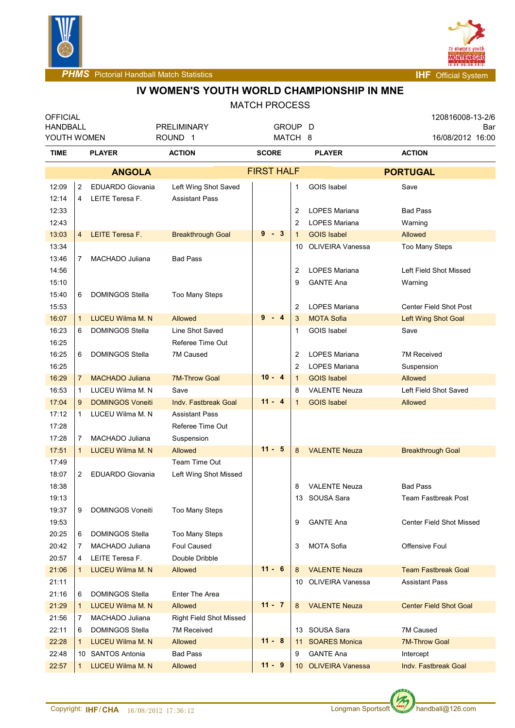



**PHMS** Pictorial Handball Match Statistics **Intervalse and Contract Contract Contract Contract Contract Contract Contract Contract Contract Contract Contract Contract Contract Contract Contract Contract Contract Contract C** 

# **IV WOMEN'S YOUTH WORLD CHAMPIONSHIP IN MNE**

| <b>OFFICIAL</b><br><b>HANDBALL</b> |                     |                                                    | PRELIMINARY                                   | GROUP D           |             |                 |                                                 |  | 120816008-13-2/6<br>Bar  |                                 |  |  |
|------------------------------------|---------------------|----------------------------------------------------|-----------------------------------------------|-------------------|-------------|-----------------|-------------------------------------------------|--|--------------------------|---------------------------------|--|--|
| YOUTH WOMEN                        |                     |                                                    | ROUND <sub>1</sub>                            | MATCH 8           |             |                 |                                                 |  |                          | 16/08/2012 16:00                |  |  |
| <b>TIME</b>                        |                     | <b>PLAYER</b>                                      | <b>ACTION</b>                                 | <b>SCORE</b>      |             |                 | <b>PLAYER</b>                                   |  | <b>ACTION</b>            |                                 |  |  |
|                                    |                     | <b>ANGOLA</b>                                      |                                               | <b>FIRST HALF</b> |             |                 |                                                 |  | <b>PORTUGAL</b>          |                                 |  |  |
| 12:09<br>12:14                     | $\overline{2}$<br>4 | <b>EDUARDO Giovania</b><br>LEITE Teresa F.         | Left Wing Shot Saved<br><b>Assistant Pass</b> |                   |             | 1               | <b>GOIS Isabel</b>                              |  | Save                     |                                 |  |  |
| 12:33                              |                     |                                                    |                                               |                   |             | 2               | LOPES Mariana                                   |  | <b>Bad Pass</b>          |                                 |  |  |
| 12:43                              |                     |                                                    |                                               |                   |             | $\overline{2}$  | <b>LOPES Mariana</b>                            |  | Warning                  |                                 |  |  |
| 13:03                              | $\overline{4}$      | <b>LEITE Teresa F.</b>                             | <b>Breakthrough Goal</b>                      | 9                 | 3<br>$\sim$ | 1               | <b>GOIS Isabel</b>                              |  | Allowed                  |                                 |  |  |
| 13:34                              |                     |                                                    |                                               |                   |             | 10              | OLIVEIRA Vanessa                                |  | Too Many Steps           |                                 |  |  |
| 13:46                              | 7                   | MACHADO Juliana                                    | <b>Bad Pass</b>                               |                   |             |                 |                                                 |  |                          |                                 |  |  |
| 14:56                              |                     |                                                    |                                               |                   |             | 2               | <b>LOPES Mariana</b>                            |  |                          | Left Field Shot Missed          |  |  |
| 15:10                              |                     |                                                    |                                               |                   |             | 9               | <b>GANTE Ana</b>                                |  | Warning                  |                                 |  |  |
| 15:40                              | 6                   | <b>DOMINGOS Stella</b>                             | <b>Too Many Steps</b>                         |                   |             |                 |                                                 |  |                          |                                 |  |  |
| 15:53                              |                     |                                                    |                                               |                   |             | 2               | LOPES Mariana                                   |  |                          | Center Field Shot Post          |  |  |
| 16:07                              | $\mathbf 1$         | <b>LUCEU Wilma M. N.</b>                           | <b>Allowed</b>                                | 9                 | 4           | 3               | <b>MOTA Sofia</b>                               |  |                          | Left Wing Shot Goal             |  |  |
| 16:23<br>16:25                     | 6                   | <b>DOMINGOS Stella</b>                             | Line Shot Saved<br>Referee Time Out           |                   |             | 1               | <b>GOIS Isabel</b>                              |  | Save                     |                                 |  |  |
| 16:25                              | 6                   | <b>DOMINGOS Stella</b>                             | 7M Caused                                     |                   |             | 2               | <b>LOPES Mariana</b>                            |  | <b>7M Received</b>       |                                 |  |  |
| 16:25                              |                     |                                                    |                                               |                   |             | 2               | <b>LOPES Mariana</b>                            |  | Suspension               |                                 |  |  |
| 16:29                              | $\overline{7}$      | <b>MACHADO Juliana</b>                             | <b>7M-Throw Goal</b>                          | $10 - 4$          |             | $\mathbf{1}$    | <b>GOIS Isabel</b>                              |  | Allowed                  |                                 |  |  |
| 16:53                              | 1                   | LUCEU Wilma M. N                                   | Save                                          |                   |             | 8               | <b>VALENTE Neuza</b>                            |  |                          | Left Field Shot Saved           |  |  |
| 17:04                              | 9                   | <b>DOMINGOS Voneiti</b>                            | <b>Indv. Fastbreak Goal</b>                   | $11 - 4$          |             | 1               | <b>GOIS Isabel</b>                              |  | Allowed                  |                                 |  |  |
| 17:12                              | $\mathbf 1$         | LUCEU Wilma M. N                                   | <b>Assistant Pass</b>                         |                   |             |                 |                                                 |  |                          |                                 |  |  |
| 17:28                              |                     |                                                    | Referee Time Out                              |                   |             |                 |                                                 |  |                          |                                 |  |  |
| 17:28                              | $\overline{7}$      | MACHADO Juliana                                    | Suspension                                    |                   |             |                 |                                                 |  |                          |                                 |  |  |
| 17:51                              | $\mathbf{1}$        | <b>LUCEU Wilma M. N</b>                            | <b>Allowed</b>                                | $11 - 5$          |             | 8               | <b>VALENTE Neuza</b>                            |  | <b>Breakthrough Goal</b> |                                 |  |  |
| 17:49                              |                     |                                                    | Team Time Out                                 |                   |             |                 |                                                 |  |                          |                                 |  |  |
| 18:07                              | 2                   | <b>EDUARDO Giovania</b>                            | Left Wing Shot Missed                         |                   |             |                 |                                                 |  |                          |                                 |  |  |
| 18:38                              |                     |                                                    |                                               |                   |             | 8               | <b>VALENTE Neuza</b>                            |  | <b>Bad Pass</b>          |                                 |  |  |
| 19:13                              |                     |                                                    |                                               |                   |             |                 | 13 SOUSA Sara                                   |  |                          | Team Fastbreak Post             |  |  |
| 19:37                              | 9                   | DOMINGOS Voneiti                                   | <b>Too Many Steps</b>                         |                   |             |                 |                                                 |  |                          |                                 |  |  |
| 19:53                              |                     |                                                    |                                               |                   |             | 9               | <b>GANTE Ana</b>                                |  |                          | <b>Center Field Shot Missed</b> |  |  |
| 20:25                              | 6                   | <b>DOMINGOS Stella</b>                             | <b>Too Many Steps</b>                         |                   |             |                 |                                                 |  |                          |                                 |  |  |
| 20:42                              | 7                   | MACHADO Juliana                                    | <b>Foul Caused</b>                            |                   |             | 3               | <b>MOTA Sofia</b>                               |  | Offensive Foul           |                                 |  |  |
| 20:57                              | 4                   | LEITE Teresa F.                                    | Double Dribble                                | $11 - 6$          |             |                 |                                                 |  |                          |                                 |  |  |
| 21:06                              | $\mathbf{1}$        | <b>LUCEU Wilma M. N</b>                            | <b>Allowed</b>                                |                   |             | 8               | <b>VALENTE Neuza</b><br><b>OLIVEIRA Vanessa</b> |  |                          | <b>Team Fastbreak Goal</b>      |  |  |
| 21:11                              |                     |                                                    |                                               |                   |             | 10              |                                                 |  | <b>Assistant Pass</b>    |                                 |  |  |
| 21:16<br>21:29                     | 6<br>$\mathbf{1}$   | <b>DOMINGOS Stella</b><br><b>LUCEU Wilma M. N.</b> | Enter The Area<br>Allowed                     | $11 - 7$          |             | 8               | <b>VALENTE Neuza</b>                            |  |                          | <b>Center Field Shot Goal</b>   |  |  |
| 21:56                              | 7                   | MACHADO Juliana                                    | <b>Right Field Shot Missed</b>                |                   |             |                 |                                                 |  |                          |                                 |  |  |
| 22:11                              | 6                   | <b>DOMINGOS Stella</b>                             | 7M Received                                   |                   |             |                 | 13 SOUSA Sara                                   |  | 7M Caused                |                                 |  |  |
| 22:28                              | $\mathbf{1}$        | LUCEU Wilma M. N                                   | <b>Allowed</b>                                | $11 - 8$          |             | 11              | <b>SOARES Monica</b>                            |  | <b>7M-Throw Goal</b>     |                                 |  |  |
| 22:48                              |                     | 10 SANTOS Antonia                                  | <b>Bad Pass</b>                               |                   |             | 9               | <b>GANTE Ana</b>                                |  | Intercept                |                                 |  |  |
| 22:57                              | $\mathbf{1}$        | <b>LUCEU Wilma M. N</b>                            | Allowed                                       | $11 - 9$          |             | 10 <sup>°</sup> | <b>OLIVEIRA Vanessa</b>                         |  |                          | <b>Indy. Fastbreak Goal</b>     |  |  |
|                                    |                     |                                                    |                                               |                   |             |                 |                                                 |  |                          |                                 |  |  |

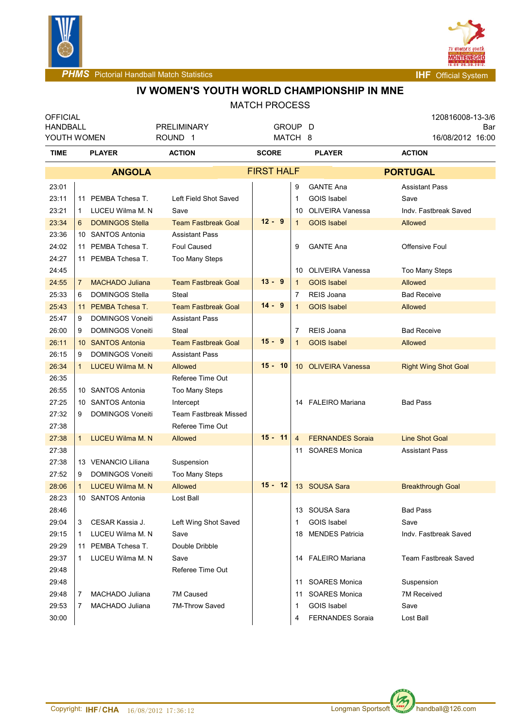



**PHMS** Pictorial Handball Match Statistics **Intervalse and Contract Contract Contract Contract Contract Contract Contract Contract Contract Contract Contract Contract Contract Contract Contract Contract Contract Contract C** 

# **IV WOMEN'S YOUTH WORLD CHAMPIONSHIP IN MNE**

| <b>OFFICIAL</b><br><b>HANDBALL</b> |    |                         | <b>PRELIMINARY</b>           | GROUP D           |                |                         | 120816008-13-3/6<br>Bar |                             |  |  |  |
|------------------------------------|----|-------------------------|------------------------------|-------------------|----------------|-------------------------|-------------------------|-----------------------------|--|--|--|
| YOUTH WOMEN                        |    |                         | ROUND <sub>1</sub>           | MATCH 8           |                |                         |                         | 16/08/2012 16:00            |  |  |  |
| TIME                               |    | <b>PLAYER</b>           | <b>ACTION</b>                | <b>SCORE</b>      |                | <b>PLAYER</b>           |                         | <b>ACTION</b>               |  |  |  |
|                                    |    | <b>ANGOLA</b>           |                              | <b>FIRST HALF</b> |                |                         |                         | <b>PORTUGAL</b>             |  |  |  |
| 23:01                              |    |                         |                              |                   | 9              | <b>GANTE Ana</b>        |                         | <b>Assistant Pass</b>       |  |  |  |
| 23:11                              |    | 11 PEMBA Tchesa T.      | Left Field Shot Saved        |                   | 1              | <b>GOIS Isabel</b>      |                         | Save                        |  |  |  |
| 23:21                              | 1  | LUCEU Wilma M. N        | Save                         |                   | 10             | <b>OLIVEIRA Vanessa</b> |                         | Indv. Fastbreak Saved       |  |  |  |
| 23:34                              | 6  | <b>DOMINGOS Stella</b>  | <b>Team Fastbreak Goal</b>   | $12 - 9$          | $\mathbf{1}$   | <b>GOIS Isabel</b>      |                         | Allowed                     |  |  |  |
| 23:36                              |    | 10 SANTOS Antonia       | <b>Assistant Pass</b>        |                   |                |                         |                         |                             |  |  |  |
| 24:02                              |    | 11 PEMBA Tchesa T.      | <b>Foul Caused</b>           |                   | 9              | <b>GANTE Ana</b>        |                         | Offensive Foul              |  |  |  |
| 24:27                              |    | 11 PEMBA Tchesa T.      | Too Many Steps               |                   |                |                         |                         |                             |  |  |  |
| 24:45                              |    |                         |                              |                   | 10             | <b>OLIVEIRA Vanessa</b> |                         | Too Many Steps              |  |  |  |
| 24:55                              | 7  | <b>MACHADO Juliana</b>  | <b>Team Fastbreak Goal</b>   | $13 - 9$          | $\mathbf 1$    | <b>GOIS Isabel</b>      |                         | <b>Allowed</b>              |  |  |  |
| 25:33                              | 6  | <b>DOMINGOS Stella</b>  | Steal                        |                   | 7              | REIS Joana              |                         | <b>Bad Receive</b>          |  |  |  |
| 25:43                              |    | 11 PEMBA Tchesa T.      | <b>Team Fastbreak Goal</b>   | $14 - 9$          | $\mathbf 1$    | <b>GOIS Isabel</b>      |                         | Allowed                     |  |  |  |
| 25:47                              | 9  | <b>DOMINGOS Voneiti</b> | <b>Assistant Pass</b>        |                   |                |                         |                         |                             |  |  |  |
| 26:00                              | 9  | <b>DOMINGOS Voneiti</b> | Steal                        |                   | 7              | REIS Joana              |                         | <b>Bad Receive</b>          |  |  |  |
| 26:11                              |    | 10 SANTOS Antonia       | <b>Team Fastbreak Goal</b>   | $15 - 9$          | $\mathbf{1}$   | <b>GOIS Isabel</b>      |                         | Allowed                     |  |  |  |
| 26:15                              | 9  | <b>DOMINGOS Voneiti</b> | <b>Assistant Pass</b>        |                   |                |                         |                         |                             |  |  |  |
| 26:34                              | 1  | <b>LUCEU Wilma M. N</b> | Allowed                      | $15 - 10$         |                | 10 OLIVEIRA Vanessa     |                         | <b>Right Wing Shot Goal</b> |  |  |  |
| 26:35                              |    |                         | Referee Time Out             |                   |                |                         |                         |                             |  |  |  |
| 26:55                              |    | 10 SANTOS Antonia       | Too Many Steps               |                   |                |                         |                         |                             |  |  |  |
| 27:25                              |    | 10 SANTOS Antonia       | Intercept                    |                   |                | 14 FALEIRO Mariana      |                         | <b>Bad Pass</b>             |  |  |  |
| 27:32                              | 9  | <b>DOMINGOS Voneiti</b> | <b>Team Fastbreak Missed</b> |                   |                |                         |                         |                             |  |  |  |
| 27:38                              |    |                         | Referee Time Out             |                   |                |                         |                         |                             |  |  |  |
| 27:38                              | 1  | <b>LUCEU Wilma M. N</b> | Allowed                      | $15 - 11$         | $\overline{4}$ | <b>FERNANDES Soraia</b> |                         | <b>Line Shot Goal</b>       |  |  |  |
| 27:38                              |    |                         |                              |                   | 11             | <b>SOARES Monica</b>    |                         | <b>Assistant Pass</b>       |  |  |  |
| 27:38                              |    | 13 VENANCIO Liliana     | Suspension                   |                   |                |                         |                         |                             |  |  |  |
| 27:52                              | 9  | <b>DOMINGOS Voneiti</b> | <b>Too Many Steps</b>        |                   |                |                         |                         |                             |  |  |  |
| 28:06                              | 1  | LUCEU Wilma M. N        | Allowed                      | $15 - 12$         |                | 13 SOUSA Sara           |                         | <b>Breakthrough Goal</b>    |  |  |  |
| 28:23                              |    | 10 SANTOS Antonia       | Lost Ball                    |                   |                |                         |                         |                             |  |  |  |
| 28:46                              |    |                         |                              |                   |                | 13 SOUSA Sara           |                         | <b>Bad Pass</b>             |  |  |  |
| 29:04                              | 3  | CESAR Kassia J.         | Left Wing Shot Saved         |                   | 1              | <b>GOIS Isabel</b>      |                         | Save                        |  |  |  |
| 29:15                              | 1  | LUCEU Wilma M. N        | Save                         |                   | 18             | <b>MENDES Patricia</b>  |                         | Indv. Fastbreak Saved       |  |  |  |
| 29:29                              |    | 11 PEMBA Tchesa T.      | Double Dribble               |                   |                |                         |                         |                             |  |  |  |
| 29:37                              | 1. | LUCEU Wilma M. N        | Save                         |                   |                | 14 FALEIRO Mariana      |                         | Team Fastbreak Saved        |  |  |  |
| 29:48                              |    |                         | Referee Time Out             |                   |                |                         |                         |                             |  |  |  |
| 29:48                              |    |                         |                              |                   |                | 11 SOARES Monica        |                         | Suspension                  |  |  |  |
| 29:48                              | 7  | MACHADO Juliana         | 7M Caused                    |                   | 11             | <b>SOARES Monica</b>    |                         | <b>7M Received</b>          |  |  |  |
| 29:53                              | 7  | MACHADO Juliana         | 7M-Throw Saved               |                   | 1              | GOIS Isabel             |                         | Save                        |  |  |  |
| 30:00                              |    |                         |                              |                   | 4              | <b>FERNANDES Soraia</b> |                         | Lost Ball                   |  |  |  |

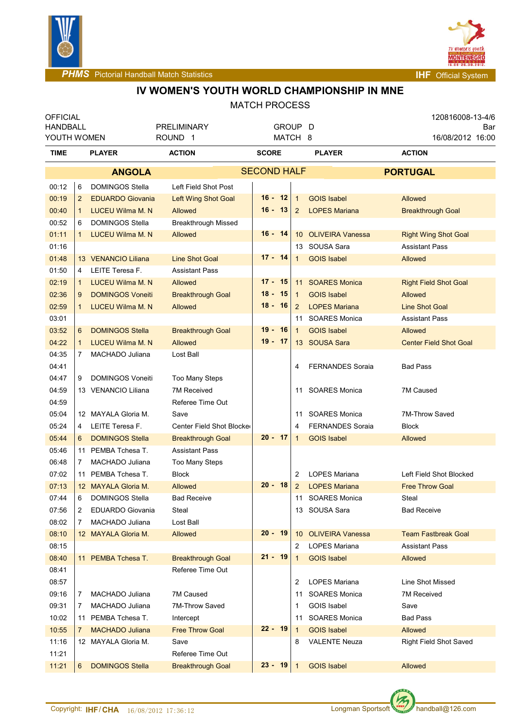



**PHMS** Pictorial Handball Match Statistics **Internal Physics INF** Official System

## **IV WOMEN'S YOUTH WORLD CHAMPIONSHIP IN MNE**

| <b>OFFICIAL</b> |                |                          |                            |                    |         |                 |                         | 120816008-13-4/6              |  |  |
|-----------------|----------------|--------------------------|----------------------------|--------------------|---------|-----------------|-------------------------|-------------------------------|--|--|
| <b>HANDBALL</b> |                |                          | <b>PRELIMINARY</b>         |                    | GROUP D |                 |                         | Bar                           |  |  |
| YOUTH WOMEN     |                |                          | ROUND <sub>1</sub>         | MATCH 8            |         |                 |                         | 16/08/2012 16:00              |  |  |
| TIME            | <b>PLAYER</b>  |                          | <b>ACTION</b>              | <b>SCORE</b>       |         |                 | <b>PLAYER</b>           | <b>ACTION</b>                 |  |  |
|                 |                | <b>ANGOLA</b>            |                            | <b>SECOND HALF</b> |         |                 |                         | <b>PORTUGAL</b>               |  |  |
| 00:12           | 6              | <b>DOMINGOS Stella</b>   | Left Field Shot Post       |                    |         |                 |                         |                               |  |  |
| 00:19           | $\overline{2}$ | <b>EDUARDO Giovania</b>  | <b>Left Wing Shot Goal</b> | 16 - 12            |         | $\overline{1}$  | <b>GOIS Isabel</b>      | Allowed                       |  |  |
| 00:40           | $\mathbf{1}$   | <b>LUCEU Wilma M. N</b>  | <b>Allowed</b>             | $16 - 13$          |         | $\overline{2}$  | <b>LOPES Mariana</b>    | <b>Breakthrough Goal</b>      |  |  |
| 00:52           | 6              | <b>DOMINGOS Stella</b>   | <b>Breakthrough Missed</b> |                    |         |                 |                         |                               |  |  |
| 01:11           | $\mathbf{1}$   | <b>LUCEU Wilma M. N</b>  | <b>Allowed</b>             | $16 - 14$          |         | 10              | <b>OLIVEIRA Vanessa</b> | <b>Right Wing Shot Goal</b>   |  |  |
| 01:16           |                |                          |                            |                    |         |                 | 13 SOUSA Sara           | <b>Assistant Pass</b>         |  |  |
| 01:48           |                | 13 VENANCIO Liliana      | <b>Line Shot Goal</b>      | 17 - 14            |         | 1               | <b>GOIS Isabel</b>      | Allowed                       |  |  |
| 01:50           | 4              | LEITE Teresa F.          | <b>Assistant Pass</b>      |                    |         |                 |                         |                               |  |  |
| 02:19           | $\mathbf{1}$   | <b>LUCEU Wilma M. N</b>  | <b>Allowed</b>             | $17 -$             | -15     |                 | 11 SOARES Monica        | <b>Right Field Shot Goal</b>  |  |  |
| 02:36           | 9              | <b>DOMINGOS Voneiti</b>  | <b>Breakthrough Goal</b>   | $18 -$             | - 15    | $\mathbf{1}$    | <b>GOIS Isabel</b>      | Allowed                       |  |  |
| 02:59           | 1              | <b>LUCEU Wilma M. N.</b> | <b>Allowed</b>             | $18 - 16$          |         | 2               | <b>LOPES Mariana</b>    | <b>Line Shot Goal</b>         |  |  |
| 03:01           |                |                          |                            |                    |         |                 | 11 SOARES Monica        | <b>Assistant Pass</b>         |  |  |
| 03:52           | 6              | <b>DOMINGOS Stella</b>   | <b>Breakthrough Goal</b>   | $19 - 16$          |         | $\mathbf{1}$    | <b>GOIS Isabel</b>      | Allowed                       |  |  |
| 04:22           | $\mathbf{1}$   | <b>LUCEU Wilma M. N</b>  | <b>Allowed</b>             | $19 - 17$          |         |                 | 13 SOUSA Sara           | <b>Center Field Shot Goal</b> |  |  |
| 04:35           | 7              | MACHADO Juliana          | Lost Ball                  |                    |         |                 |                         |                               |  |  |
| 04:41           |                |                          |                            |                    |         | 4               | <b>FERNANDES Soraia</b> | <b>Bad Pass</b>               |  |  |
| 04:47           | 9              | <b>DOMINGOS Voneiti</b>  | <b>Too Many Steps</b>      |                    |         |                 |                         |                               |  |  |
| 04:59           |                | 13 VENANCIO Liliana      | <b>7M Received</b>         |                    |         | 11              | <b>SOARES Monica</b>    | 7M Caused                     |  |  |
| 04:59           |                |                          | Referee Time Out           |                    |         |                 |                         |                               |  |  |
| 05:04           |                | 12 MAYALA Gloria M.      | Save                       |                    |         | 11              | <b>SOARES Monica</b>    | 7M-Throw Saved                |  |  |
| 05:24           | 4              | LEITE Teresa F.          | Center Field Shot Blocke   |                    |         | 4               | <b>FERNANDES Soraia</b> | <b>Block</b>                  |  |  |
| 05:44           | 6              | <b>DOMINGOS Stella</b>   | <b>Breakthrough Goal</b>   | $20 - 17$          |         | 1               | <b>GOIS Isabel</b>      | Allowed                       |  |  |
| 05:46           | 11             | PEMBA Tchesa T.          | <b>Assistant Pass</b>      |                    |         |                 |                         |                               |  |  |
| 06:48           | 7              | MACHADO Juliana          | <b>Too Many Steps</b>      |                    |         |                 |                         |                               |  |  |
| 07:02           | 11             | PEMBA Tchesa T.          | <b>Block</b>               |                    |         | 2               | <b>LOPES Mariana</b>    | Left Field Shot Blocked       |  |  |
| 07:13           |                | 12 MAYALA Gloria M.      | <b>Allowed</b>             | $20 - 18$          |         | 2               | <b>LOPES Mariana</b>    | <b>Free Throw Goal</b>        |  |  |
| 07:44           | 6              | <b>DOMINGOS Stella</b>   | <b>Bad Receive</b>         |                    |         | 11              | <b>SOARES Monica</b>    | Steal                         |  |  |
| 07:56           | 2              | <b>EDUARDO Giovania</b>  | Steal                      |                    |         |                 | 13 SOUSA Sara           | <b>Bad Receive</b>            |  |  |
| 08:02           | 7              | MACHADO Juliana          | Lost Ball                  |                    |         |                 |                         |                               |  |  |
| 08:10           |                | 12 MAYALA Gloria M.      | Allowed                    | $20 - 19$          |         | 10 <sup>°</sup> | <b>OLIVEIRA Vanessa</b> | <b>Team Fastbreak Goal</b>    |  |  |
| 08:15           |                |                          |                            |                    |         | 2               | <b>LOPES Mariana</b>    | <b>Assistant Pass</b>         |  |  |
| 08:40           |                | 11 PEMBA Tchesa T.       | <b>Breakthrough Goal</b>   | $21 - 19$          |         | 1               | <b>GOIS Isabel</b>      | Allowed                       |  |  |
| 08:41           |                |                          | Referee Time Out           |                    |         |                 |                         |                               |  |  |
| 08:57           |                |                          |                            |                    |         | 2               | <b>LOPES Mariana</b>    | Line Shot Missed              |  |  |
| 09:16           | 7              | MACHADO Juliana          | 7M Caused                  |                    |         | 11              | <b>SOARES Monica</b>    | 7M Received                   |  |  |
| 09:31           | 7              | MACHADO Juliana          | 7M-Throw Saved             |                    |         | 1               | <b>GOIS Isabel</b>      | Save                          |  |  |
| 10:02           | 11             | PEMBA Tchesa T.          | Intercept                  | 22 - 19            |         | 11              | <b>SOARES Monica</b>    | <b>Bad Pass</b>               |  |  |
| 10:55           | 7.             | <b>MACHADO Juliana</b>   | <b>Free Throw Goal</b>     |                    |         | $\mathbf{1}$    | <b>GOIS Isabel</b>      | Allowed                       |  |  |
| 11:16           |                | 12 MAYALA Gloria M.      | Save                       |                    |         | 8               | <b>VALENTE Neuza</b>    | Right Field Shot Saved        |  |  |
| 11:21           |                |                          | Referee Time Out           | 23 -               | - 19    |                 |                         |                               |  |  |
| 11:21           | 6              | <b>DOMINGOS Stella</b>   | <b>Breakthrough Goal</b>   |                    |         | $\mathbf 1$     | <b>GOIS Isabel</b>      | Allowed                       |  |  |

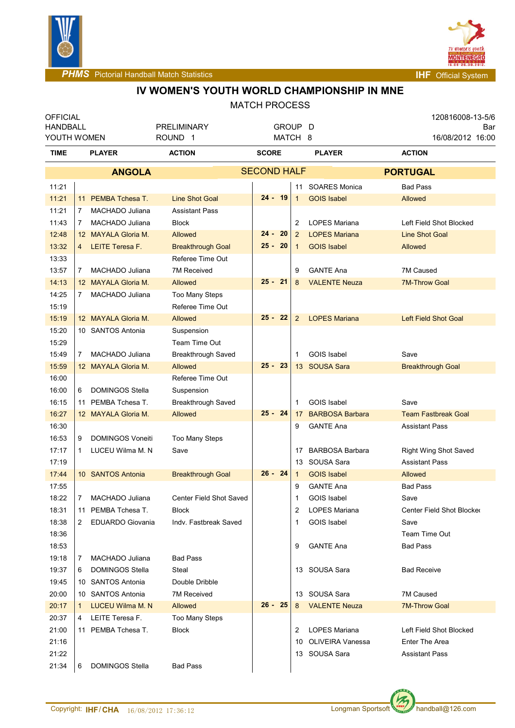



**PHMS** Pictorial Handball Match Statistics **Internal Physics INF** Official System

# **IV WOMEN'S YOUTH WORLD CHAMPIONSHIP IN MNE**

| <b>OFFICIAL</b>                |                |                                              |                                          |                    |                 |                                       |                 | 120816008-13-5/6                  |  |
|--------------------------------|----------------|----------------------------------------------|------------------------------------------|--------------------|-----------------|---------------------------------------|-----------------|-----------------------------------|--|
| <b>HANDBALL</b><br>YOUTH WOMEN |                |                                              | <b>PRELIMINARY</b><br>ROUND <sub>1</sub> | GROUP D<br>MATCH 8 |                 |                                       |                 | Bar<br>16/08/2012 16:00           |  |
| TIME                           | <b>PLAYER</b>  |                                              | <b>ACTION</b>                            | <b>SCORE</b>       |                 | <b>PLAYER</b>                         |                 | <b>ACTION</b>                     |  |
|                                |                | <b>ANGOLA</b>                                |                                          | <b>SECOND HALF</b> |                 |                                       | <b>PORTUGAL</b> |                                   |  |
| 11:21                          |                |                                              |                                          |                    |                 | 11 SOARES Monica                      |                 | <b>Bad Pass</b>                   |  |
| 11:21                          |                | 11 PEMBA Tchesa T.                           | <b>Line Shot Goal</b>                    | 24 - 19            | $\mathbf{1}$    | <b>GOIS Isabel</b>                    | Allowed         |                                   |  |
| 11:21                          | 7              | MACHADO Juliana                              | <b>Assistant Pass</b>                    |                    |                 |                                       |                 |                                   |  |
| 11:43                          | $\overline{7}$ | MACHADO Juliana                              | <b>Block</b>                             |                    | 2               | <b>LOPES Mariana</b>                  |                 | Left Field Shot Blocked           |  |
| 12:48                          |                | 12 MAYALA Gloria M.                          | <b>Allowed</b>                           | $24 -$<br>20       | 2               | <b>LOPES Mariana</b>                  |                 | <b>Line Shot Goal</b>             |  |
| 13:32                          | $\overline{4}$ | <b>LEITE Teresa F.</b>                       | <b>Breakthrough Goal</b>                 | $25 - 20$          | $\mathbf{1}$    | <b>GOIS Isabel</b>                    | Allowed         |                                   |  |
| 13:33                          |                |                                              | Referee Time Out                         |                    |                 |                                       |                 |                                   |  |
| 13:57                          | 7              | MACHADO Juliana                              | 7M Received                              |                    | 9               | <b>GANTE Ana</b>                      |                 | 7M Caused                         |  |
| 14:13                          |                | 12 MAYALA Gloria M.                          | Allowed                                  | $25 - 21$          | 8               | <b>VALENTE Neuza</b>                  |                 | <b>7M-Throw Goal</b>              |  |
| 14:25                          | $7^{\circ}$    | MACHADO Juliana                              | <b>Too Many Steps</b>                    |                    |                 |                                       |                 |                                   |  |
| 15:19                          |                |                                              | Referee Time Out                         |                    |                 |                                       |                 |                                   |  |
| 15:19                          |                | 12 MAYALA Gloria M.                          | <b>Allowed</b>                           | $25 -$<br>-22      | 2               | <b>LOPES Mariana</b>                  |                 | <b>Left Field Shot Goal</b>       |  |
| 15:20                          |                | 10 SANTOS Antonia                            | Suspension                               |                    |                 |                                       |                 |                                   |  |
| 15:29                          |                |                                              | Team Time Out                            |                    |                 |                                       |                 |                                   |  |
| 15:49                          | $\overline{7}$ | MACHADO Juliana                              | Breakthrough Saved                       |                    | 1               | <b>GOIS Isabel</b>                    | Save            |                                   |  |
| 15:59                          |                | 12 MAYALA Gloria M.                          | <b>Allowed</b>                           | $25 -$<br>- 23     | 13 <sup>2</sup> | <b>SOUSA Sara</b>                     |                 | <b>Breakthrough Goal</b>          |  |
| 16:00                          |                |                                              | Referee Time Out                         |                    |                 |                                       |                 |                                   |  |
| 16:00                          | 6              | <b>DOMINGOS Stella</b>                       | Suspension                               |                    |                 |                                       |                 |                                   |  |
| 16:15                          | 11             | PEMBA Tchesa T.                              | <b>Breakthrough Saved</b>                |                    | 1               | <b>GOIS Isabel</b>                    | Save            |                                   |  |
| 16:27                          |                | 12 MAYALA Gloria M.                          | Allowed                                  | $25 - 24$          | 17              | <b>BARBOSA Barbara</b>                |                 | <b>Team Fastbreak Goal</b>        |  |
| 16:30                          |                |                                              |                                          |                    | 9               | <b>GANTE Ana</b>                      |                 | <b>Assistant Pass</b>             |  |
| 16:53                          | 9              | <b>DOMINGOS Voneiti</b>                      | <b>Too Many Steps</b>                    |                    |                 |                                       |                 |                                   |  |
| 17:17                          | 1              | LUCEU Wilma M. N                             | Save                                     |                    | 17              | <b>BARBOSA Barbara</b>                |                 | <b>Right Wing Shot Saved</b>      |  |
| 17:19                          |                |                                              |                                          |                    | 13              | SOUSA Sara                            |                 | <b>Assistant Pass</b>             |  |
| 17:44                          |                | 10 SANTOS Antonia                            | <b>Breakthrough Goal</b>                 | $26 - 24$          | $\mathbf{1}$    | <b>GOIS Isabel</b>                    | Allowed         |                                   |  |
| 17:55                          |                |                                              |                                          |                    | 9               | <b>GANTE Ana</b>                      |                 | <b>Bad Pass</b>                   |  |
| 18:22                          | 7              | MACHADO Juliana                              | Center Field Shot Saved                  |                    | $\mathbf 1$     | <b>GOIS Isabel</b>                    | Save            |                                   |  |
| 18:31                          |                | 11 PEMBA Tchesa T.                           | <b>Block</b>                             |                    | $\overline{2}$  | LOPES Mariana                         |                 | Center Field Shot Blocker         |  |
| 18:38                          | 2              | <b>EDUARDO Giovania</b>                      | Indv. Fastbreak Saved                    |                    | 1               | <b>GOIS Isabel</b>                    | Save            |                                   |  |
| 18:36                          |                |                                              |                                          |                    |                 |                                       |                 | Team Time Out                     |  |
| 18:53                          |                |                                              |                                          |                    | 9               | <b>GANTE Ana</b>                      |                 | <b>Bad Pass</b>                   |  |
| 19:18                          | 7              | MACHADO Juliana                              | <b>Bad Pass</b>                          |                    |                 |                                       |                 |                                   |  |
| 19:37                          | 6              | <b>DOMINGOS Stella</b>                       | Steal                                    |                    |                 | 13 SOUSA Sara                         |                 | <b>Bad Receive</b>                |  |
| 19:45                          |                | 10 SANTOS Antonia                            | Double Dribble                           |                    |                 |                                       |                 |                                   |  |
| 20:00<br>20:17                 | 1              | 10 SANTOS Antonia<br><b>LUCEU Wilma M. N</b> | <b>7M Received</b><br>Allowed            | $26 - 25$          | 8               | 13 SOUSA Sara<br><b>VALENTE Neuza</b> |                 | 7M Caused<br><b>7M-Throw Goal</b> |  |
| 20:37                          | 4              | LEITE Teresa F.                              | Too Many Steps                           |                    |                 |                                       |                 |                                   |  |
| 21:00                          |                | 11 PEMBA Tchesa T.                           | <b>Block</b>                             |                    | 2               | LOPES Mariana                         |                 | Left Field Shot Blocked           |  |
| 21:16                          |                |                                              |                                          |                    |                 | 10 OLIVEIRA Vanessa                   |                 | <b>Enter The Area</b>             |  |
| 21:22                          |                |                                              |                                          |                    |                 | 13 SOUSA Sara                         |                 | <b>Assistant Pass</b>             |  |
| 21:34                          | 6              | DOMINGOS Stella                              | <b>Bad Pass</b>                          |                    |                 |                                       |                 |                                   |  |
|                                |                |                                              |                                          |                    |                 |                                       |                 |                                   |  |